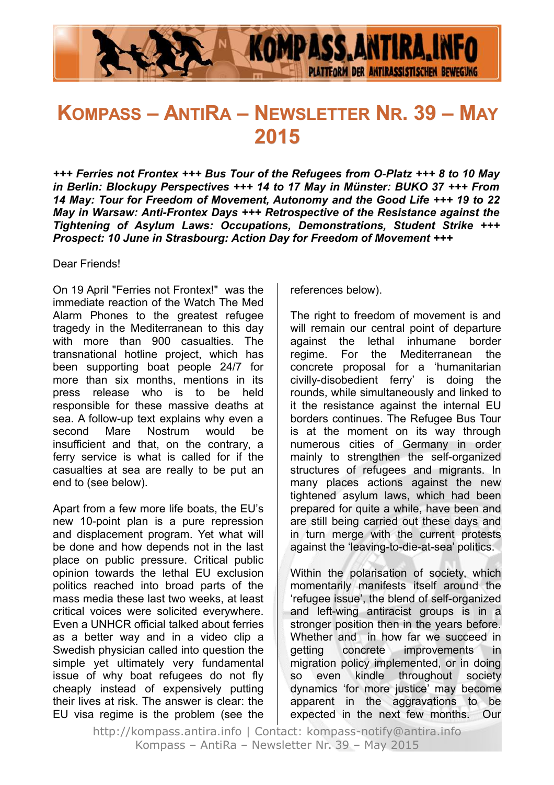

# **KOMPASS – ANTIRA – NEWSLETTER NR. 39 – MAY 2015**

*+++ Ferries not Frontex +++ Bus Tour of the Refugees from O-Platz +++ 8 to 10 May in Berlin: Blockupy Perspectives +++ 14 to 17 May in Münster: BUKO 37 +++ From 14 May: Tour for Freedom of Movement, Autonomy and the Good Life +++ 19 to 22 May in Warsaw: Anti-Frontex Days +++ Retrospective of the Resistance against the Tightening of Asylum Laws: Occupations, Demonstrations, Student Strike +++ Prospect: 10 June in Strasbourg: Action Day for Freedom of Movement +++*

Dear Friends!

On 19 April "Ferries not Frontex!" was the immediate reaction of the Watch The Med Alarm Phones to the greatest refugee tragedy in the Mediterranean to this day with more than 900 casualties. The transnational hotline project, which has been supporting boat people 24/7 for more than six months, mentions in its press release who is to be held responsible for these massive deaths at sea. A follow-up text explains why even a second Mare Nostrum would be insufficient and that, on the contrary, a ferry service is what is called for if the casualties at sea are really to be put an end to (see below).

Apart from a few more life boats, the EU's new 10-point plan is a pure repression and displacement program. Yet what will be done and how depends not in the last place on public pressure. Critical public opinion towards the lethal EU exclusion politics reached into broad parts of the mass media these last two weeks, at least critical voices were solicited everywhere. Even a UNHCR official talked about ferries as a better way and in a video clip a Swedish physician called into question the simple yet ultimately very fundamental issue of why boat refugees do not fly cheaply instead of expensively putting their lives at risk. The answer is clear: the EU visa regime is the problem (see the references below).

The right to freedom of movement is and will remain our central point of departure against the lethal inhumane border regime. For the Mediterranean the concrete proposal for a 'humanitarian civilly-disobedient ferry' is doing the rounds, while simultaneously and linked to it the resistance against the internal EU borders continues. The Refugee Bus Tour is at the moment on its way through numerous cities of Germany in order mainly to strengthen the self-organized structures of refugees and migrants. In many places actions against the new tightened asylum laws, which had been prepared for quite a while, have been and are still being carried out these days and in turn merge with the current protests against the 'leaving-to-die-at-sea' politics.

Within the polarisation of society, which momentarily manifests itself around the 'refugee issue', the blend of self-organized and left-wing antiracist groups is in a stronger position then in the years before. Whether and in how far we succeed in getting concrete improvements in migration policy implemented, or in doing so even kindle throughout society dynamics 'for more justice' may become apparent in the aggravations to be expected in the next few months. Our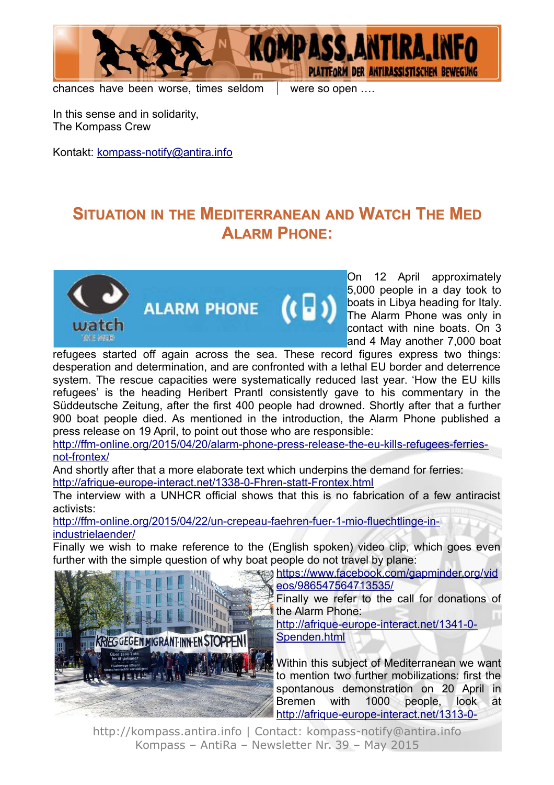

chances have been worse, times seldom  $\parallel$  were so open ...

In this sense and in solidarity, The Kompass Crew

Kontakt: [kompass-notify@antira.inf](mailto:kompass-notify@antira.info)o

## **SITUATION IN THE MEDITERRANEAN AND WATCH THE MED ALARM PHONE:**



On 12 April approximately 5,000 people in a day took to boats in Libya heading for Italy. The Alarm Phone was only in contact with nine boats. On 3 and 4 May another 7,000 boat

refugees started off again across the sea. These record figures express two things: desperation and determination, and are confronted with a lethal EU border and deterrence system. The rescue capacities were systematically reduced last year. 'How the EU kills refugees' is the heading Heribert Prantl consistently gave to his commentary in the Süddeutsche Zeitung, after the first 400 people had drowned. Shortly after that a further 900 boat people died. As mentioned in the introduction, the Alarm Phone published a press release on 19 April, to point out those who are responsible:

[http://ffm-online.org/2015/04/20/alarm-phone-press-release-the-eu-kills-refugees-ferries](http://ffm-online.org/2015/04/20/alarm-phone-press-release-the-eu-kills-refugees-ferries-not-frontex/)[not-frontex/](http://ffm-online.org/2015/04/20/alarm-phone-press-release-the-eu-kills-refugees-ferries-not-frontex/)

And shortly after that a more elaborate text which underpins the demand for ferries: <http://afrique-europe-interact.net/1338-0-Fhren-statt-Frontex.html>

The interview with a UNHCR official shows that this is no fabrication of a few antiracist activists:

[http://ffm-online.org/2015/04/22/un-crepeau-faehren-fuer-1-mio-fluechtlinge-in](http://ffm-online.org/2015/04/22/un-crepeau-faehren-fuer-1-mio-fluechtlinge-in-industrielaender/)[industrielaender/](http://ffm-online.org/2015/04/22/un-crepeau-faehren-fuer-1-mio-fluechtlinge-in-industrielaender/)

Finally we wish to make reference to the (English spoken) video clip, which goes even further with the simple question of why boat people do not travel by plane:



<https://www.facebook.com/gapminder.org/>[vid](https://www.facebook.com/gapminder.org/videos/986547564713535/) [eos/986547564713535/](https://www.facebook.com/gapminder.org/videos/986547564713535/)

> Finally we refer to the call for donations of the Alarm Phone:

[http://afrique-europe-interact.net/1341-0-](http://afrique-europe-interact.net/1341-0-Spenden.html) [Spenden.html](http://afrique-europe-interact.net/1341-0-Spenden.html)

Within this subject of Mediterranean we want to mention two further mobilizations: first the spontanous demonstration on 20 April in Bremen with 1000 people, look at [http://afrique-europe-interact.net/1313-0-](http://afrique-europe-interact.net/1313-0-Faehren-statt-Frontex.html)

http://kompass.antira.info | Contact: kompass-notify@antira.info Kompass – AntiRa – Newsletter Nr. 39 – May 2015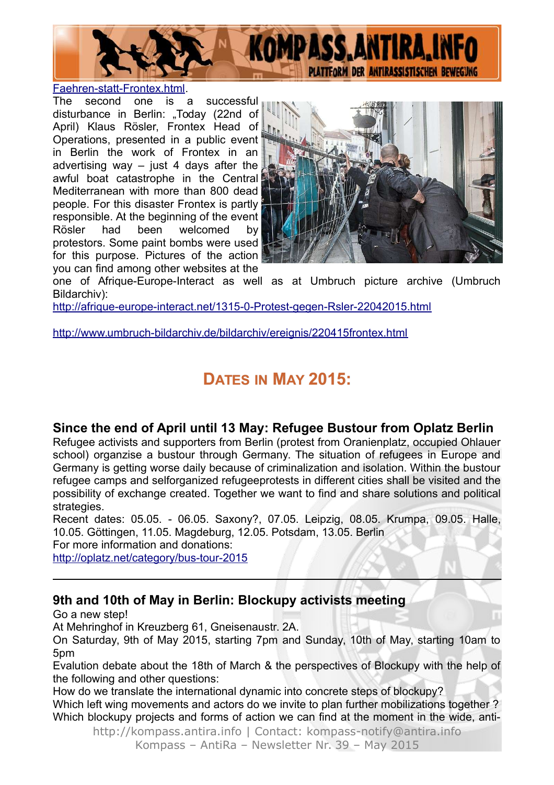

[Faehren-statt-Frontex.html.](http://afrique-europe-interact.net/1313-0-Faehren-statt-Frontex.html)

The second one is a successful disturbance in Berlin: "Today (22nd of April) Klaus Rösler, Frontex Head of Operations, presented in a public event in Berlin the work of Frontex in an advertising way  $-$  just 4 days after the awful boat catastrophe in the Central Mediterranean with more than 800 dead people. For this disaster Frontex is partly responsible. At the beginning of the event Rösler had been welcomed by protestors. Some paint bombs were used for this purpose. Pictures of the action you can find among other websites at the



one of Afrique-Europe-Interact as well as at Umbruch picture archive (Umbruch Bildarchiv):

<http://afrique-europe-interact.net/1315-0-Protest-gegen-Rsler-22042015.html>

<http://www.umbruch-bildarchiv.de/bildarchiv/ereignis/220415frontex.html>

## **DATES IN MAY 2015:**

## **Since the end of April until 13 May: Refugee Bustour from Oplatz Berlin**

Refugee activists and supporters from Berlin (protest from Oranienplatz, occupied Ohlauer school) organzise a bustour through Germany. The situation of refugees in Europe and Germany is getting worse daily because of criminalization and isolation. Within the bustour refugee camps and selforganized refugeeprotests in different cities shall be visited and the possibility of exchange created. Together we want to find and share solutions and political strategies.

Recent dates: 05.05. - 06.05. Saxony?, 07.05. Leipzig, 08.05. Krumpa, 09.05. Halle, 10.05. Göttingen, 11.05. Magdeburg, 12.05. Potsdam, 13.05. Berlin

For more information and donations:

<http://oplatz.net/category/bus-tour-2015>

### **9th and 10th of May in Berlin: Blockupy activists meeting**

Go a new step!

At Mehringhof in Kreuzberg 61, Gneisenaustr. 2A.

On Saturday, 9th of May 2015, starting 7pm and Sunday, 10th of May, starting 10am to 5pm

Evalution debate about the 18th of March & the perspectives of Blockupy with the help of the following and other questions:

How do we translate the international dynamic into concrete steps of blockupy?

Which left wing movements and actors do we invite to plan further mobilizations together ? Which blockupy projects and forms of action we can find at the moment in the wide, anti-

http://kompass.antira.info | Contact: kompass-notify@antira.info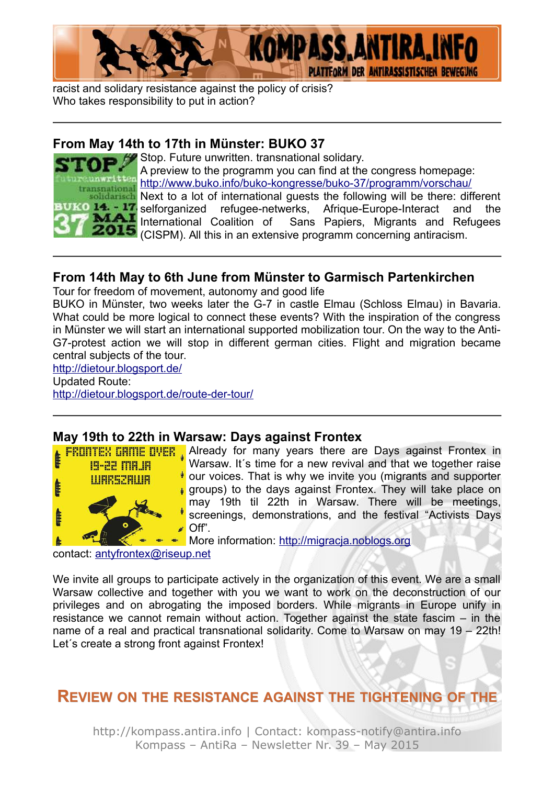

racist and solidary resistance against the policy of crisis? Who takes responsibility to put in action?

### **From May 14th to 17th in Münster: BUKO 37**



Stop. Future unwritten. transnational solidary. A preview to the programm you can find at the congress homepage: <http://www.buko.info/buko-kongresse/buko-37/programm/vorschau/> **Next to a lot of international guests the following will be there: different**<br>**BUKO 14. - 17.** selforganized refugee-netwerks. Afrique-Europe-Interact and the 14. 17 selforganized refugee-netwerks, Afrique-Europe-Interact and the MAI International Coalition of Sans Papiers, Migrants and Refugees Sans Papiers, Migrants and Refugees 2015 (CISPM). All this in an extensive programm concerning antiracism.

## **From 14th May to 6th June from Münster to Garmisch Partenkirchen**

Tour for freedom of movement, autonomy and good life

BUKO in Münster, two weeks later the G-7 in castle Elmau (Schloss Elmau) in Bavaria. What could be more logical to connect these events? With the inspiration of the congress in Münster we will start an international supported mobilization tour. On the way to the Anti-G7-protest action we will stop in different german cities. Flight and migration became central subjects of the tour.

#### <http://dietour.blogsport.de/>

Updated Route:

<http://dietour.blogsport.de/route-der-tour/>

## **May 19th to 22th in Warsaw: Days against Frontex**



**FRUITTEX UNITE OVER** Already for many years there are Days against Frontex in Warsaw. It's time for a new revival and that we together raise our voices. That is why we invite you (migrants and supporter **p** groups) to the days against Frontex. They will take place on may 19th til 22th in Warsaw. There will be meetings, screenings, demonstrations, and the festival "Activists Days  $\bullet$  Off".

**More information: [http://migracja.noblogs.org](http://migracja.noblogs.org/)** 

contact: [antyfrontex@riseup.net](mailto:antyfrontex@riseup.net)

We invite all groups to participate actively in the organization of this event. We are a small Warsaw collective and together with you we want to work on the deconstruction of our privileges and on abrogating the imposed borders. While migrants in Europe unify in resistance we cannot remain without action. Together against the state fascim – in the name of a real and practical transnational solidarity. Come to Warsaw on may 19 – 22th! Let´s create a strong front against Frontex!

**REVIEW ON THE RESISTANCE AGAINST THE TIGHTENING OF THE**

http://kompass.antira.info | Contact: kompass-notify@antira.info Kompass – AntiRa – Newsletter Nr. 39 – May 2015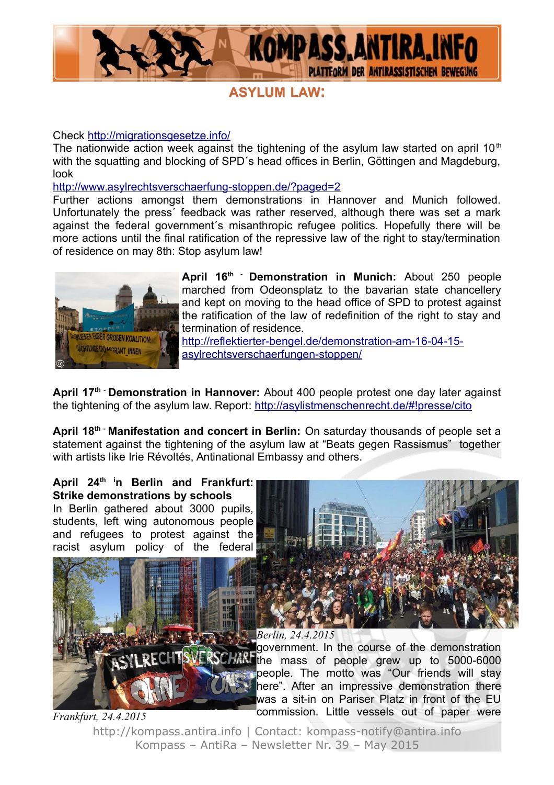

## **ASYLUM LAW:**

#### Check<http://migrationsgesetze.info/>

The nationwide action week against the tightening of the asylum law started on april 10<sup>th</sup> with the squatting and blocking of SPD´s head offices in Berlin, Göttingen and Magdeburg, look

<http://www.asylrechtsverschaerfung-stoppen.de/?paged=2>

Further actions amongst them demonstrations in Hannover and Munich followed. Unfortunately the press´ feedback was rather reserved, although there was set a mark against the federal government´s misanthropic refugee politics. Hopefully there will be more actions until the final ratification of the repressive law of the right to stay/termination of residence on may 8th: Stop asylum law!



**April 16th - Demonstration in Munich:** About 250 people marched from Odeonsplatz to the bavarian state chancellery and kept on moving to the head office of SPD to protest against the ratification of the law of redefinition of the right to stay and termination of residence.

[http://reflektierter-bengel.de/demonstration-am-16-04-15](http://reflektierter-bengel.de/demonstration-am-16-04-15-asylrechtsverschaerfungen-stoppen/) [asylrechtsverschaerfungen-stoppen/](http://reflektierter-bengel.de/demonstration-am-16-04-15-asylrechtsverschaerfungen-stoppen/)

**April 17th - Demonstration in Hannover:** About 400 people protest one day later against the tightening of the asylum law. Report:<http://asylistmenschenrecht.de/#!presse/cito>

April 18<sup>th</sup> Manifestation and concert in Berlin: On saturday thousands of people set a statement against the tightening of the asylum law at "Beats gegen Rassismus" together with artists like Irie Révoltés, Antinational Embassy and others.

**April 24th in Berlin and Frankfurt: Strike demonstrations by schools** In Berlin gathered about 3000 pupils, students, left wing autonomous people and refugees to protest against the racist asylum policy of the federal



government. In the course of the demonstration the mass of people grew up to 5000-6000 people. The motto was "Our friends will stay here". After an impressive demonstration there was a sit-in on Pariser Platz in front of the EU commission. Little vessels out of paper were *Berlin, 24.4.2015*

http://kompass.antira.info | Contact: kompass-notify@antira.info Kompass – AntiRa – Newsletter Nr. 39 – May 2015 *Frankfurt, 24.4.2015*